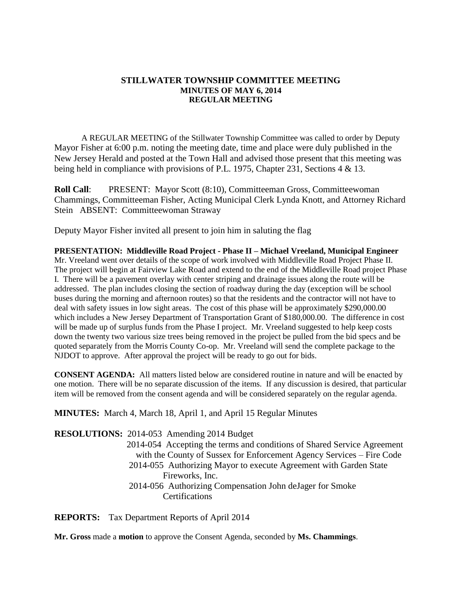# **STILLWATER TOWNSHIP COMMITTEE MEETING MINUTES OF MAY 6, 2014 REGULAR MEETING**

A REGULAR MEETING of the Stillwater Township Committee was called to order by Deputy Mayor Fisher at 6:00 p.m. noting the meeting date, time and place were duly published in the New Jersey Herald and posted at the Town Hall and advised those present that this meeting was being held in compliance with provisions of P.L. 1975, Chapter 231, Sections 4 & 13.

**Roll Call**: PRESENT: Mayor Scott (8:10), Committeeman Gross, Committeewoman Chammings, Committeeman Fisher, Acting Municipal Clerk Lynda Knott, and Attorney Richard Stein ABSENT: Committeewoman Straway

Deputy Mayor Fisher invited all present to join him in saluting the flag

**PRESENTATION: Middleville Road Project - Phase II – Michael Vreeland, Municipal Engineer** Mr. Vreeland went over details of the scope of work involved with Middleville Road Project Phase II. The project will begin at Fairview Lake Road and extend to the end of the Middleville Road project Phase I. There will be a pavement overlay with center striping and drainage issues along the route will be addressed. The plan includes closing the section of roadway during the day (exception will be school buses during the morning and afternoon routes) so that the residents and the contractor will not have to deal with safety issues in low sight areas. The cost of this phase will be approximately \$290,000.00 which includes a New Jersey Department of Transportation Grant of \$180,000.00. The difference in cost will be made up of surplus funds from the Phase I project. Mr. Vreeland suggested to help keep costs down the twenty two various size trees being removed in the project be pulled from the bid specs and be quoted separately from the Morris County Co-op. Mr. Vreeland will send the complete package to the NJDOT to approve. After approval the project will be ready to go out for bids.

**CONSENT AGENDA:** All matters listed below are considered routine in nature and will be enacted by one motion. There will be no separate discussion of the items. If any discussion is desired, that particular item will be removed from the consent agenda and will be considered separately on the regular agenda.

**MINUTES:** March 4, March 18, April 1, and April 15 Regular Minutes

**RESOLUTIONS:** 2014-053 Amending 2014 Budget 2014-054 Accepting the terms and conditions of Shared Service Agreement with the County of Sussex for Enforcement Agency Services – Fire Code 2014-055 Authorizing Mayor to execute Agreement with Garden State Fireworks, Inc. 2014-056 Authorizing Compensation John deJager for Smoke **Certifications** 

**REPORTS:** Tax Department Reports of April 2014

**Mr. Gross** made a **motion** to approve the Consent Agenda, seconded by **Ms. Chammings**.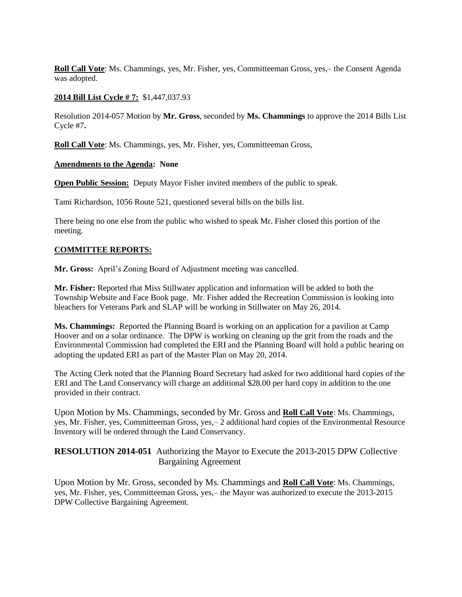**Roll Call Vote**: Ms. Chammings, yes, Mr. Fisher, yes, Committeeman Gross, yes,– the Consent Agenda was adopted.

#### **2014 Bill List Cycle # 7:** \$1,447,037.93

Resolution 2014-057 Motion by **Mr. Gross**, seconded by **Ms. Chammings** to approve the 2014 Bills List Cycle #7**.**

**Roll Call Vote**: Ms. Chammings, yes, Mr. Fisher, yes, Committeeman Gross,

#### **Amendments to the Agenda: None**

**Open Public Session:** Deputy Mayor Fisher invited members of the public to speak.

Tami Richardson, 1056 Route 521, questioned several bills on the bills list.

There being no one else from the public who wished to speak Mr. Fisher closed this portion of the meeting.

#### **COMMITTEE REPORTS:**

**Mr. Gross:** April's Zoning Board of Adjustment meeting was cancelled.

**Mr. Fisher:** Reported that Miss Stillwater application and information will be added to both the Township Website and Face Book page. Mr. Fisher added the Recreation Commission is looking into bleachers for Veterans Park and SLAP will be working in Stillwater on May 26, 2014.

**Ms. Chammings:** Reported the Planning Board is working on an application for a pavilion at Camp Hoover and on a solar ordinance. The DPW is working on cleaning up the grit from the roads and the Environmental Commission had completed the ERI and the Planning Board will hold a public hearing on adopting the updated ERI as part of the Master Plan on May 20, 2014.

The Acting Clerk noted that the Planning Board Secretary had asked for two additional hard copies of the ERI and The Land Conservancy will charge an additional \$28.00 per hard copy in addition to the one provided in their contract.

Upon Motion by Ms. Chammings, seconded by Mr. Gross and **Roll Call Vote**: Ms. Chammings, yes, Mr. Fisher, yes, Committeeman Gross, yes,– 2 additional hard copies of the Environmental Resource Inventory will be ordered through the Land Conservancy.

**RESOLUTION 2014-051** Authorizing the Mayor to Execute the 2013-2015 DPW Collective Bargaining Agreement

Upon Motion by Mr. Gross, seconded by Ms. Chammings and **Roll Call Vote**: Ms. Chammings, yes, Mr. Fisher, yes, Committeeman Gross, yes,– the Mayor was authorized to execute the 2013-2015 DPW Collective Bargaining Agreement.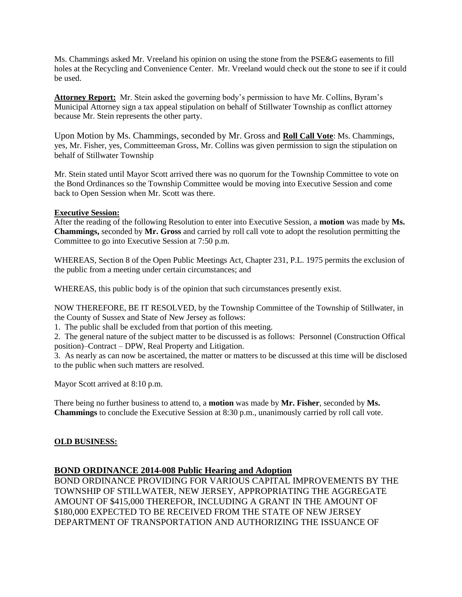Ms. Chammings asked Mr. Vreeland his opinion on using the stone from the PSE&G easements to fill holes at the Recycling and Convenience Center. Mr. Vreeland would check out the stone to see if it could be used.

**Attorney Report:** Mr. Stein asked the governing body's permission to have Mr. Collins, Byram's Municipal Attorney sign a tax appeal stipulation on behalf of Stillwater Township as conflict attorney because Mr. Stein represents the other party.

Upon Motion by Ms. Chammings, seconded by Mr. Gross and **Roll Call Vote**: Ms. Chammings, yes, Mr. Fisher, yes, Committeeman Gross, Mr. Collins was given permission to sign the stipulation on behalf of Stillwater Township

Mr. Stein stated until Mayor Scott arrived there was no quorum for the Township Committee to vote on the Bond Ordinances so the Township Committee would be moving into Executive Session and come back to Open Session when Mr. Scott was there.

## **Executive Session:**

After the reading of the following Resolution to enter into Executive Session, a **motion** was made by **Ms. Chammings,** seconded by **Mr. Gross** and carried by roll call vote to adopt the resolution permitting the Committee to go into Executive Session at 7:50 p.m.

WHEREAS, Section 8 of the Open Public Meetings Act, Chapter 231, P.L. 1975 permits the exclusion of the public from a meeting under certain circumstances; and

WHEREAS, this public body is of the opinion that such circumstances presently exist.

NOW THEREFORE, BE IT RESOLVED, by the Township Committee of the Township of Stillwater, in the County of Sussex and State of New Jersey as follows:

1. The public shall be excluded from that portion of this meeting.

2. The general nature of the subject matter to be discussed is as follows: Personnel (Construction Offical position)–Contract – DPW, Real Property and Litigation.

3. As nearly as can now be ascertained, the matter or matters to be discussed at this time will be disclosed to the public when such matters are resolved.

Mayor Scott arrived at 8:10 p.m.

There being no further business to attend to, a **motion** was made by **Mr. Fisher**, seconded by **Ms. Chammings** to conclude the Executive Session at 8:30 p.m., unanimously carried by roll call vote.

## **OLD BUSINESS:**

## **BOND ORDINANCE 2014-008 Public Hearing and Adoption**

BOND ORDINANCE PROVIDING FOR VARIOUS CAPITAL IMPROVEMENTS BY THE TOWNSHIP OF STILLWATER, NEW JERSEY, APPROPRIATING THE AGGREGATE AMOUNT OF \$415,000 THEREFOR, INCLUDING A GRANT IN THE AMOUNT OF \$180,000 EXPECTED TO BE RECEIVED FROM THE STATE OF NEW JERSEY DEPARTMENT OF TRANSPORTATION AND AUTHORIZING THE ISSUANCE OF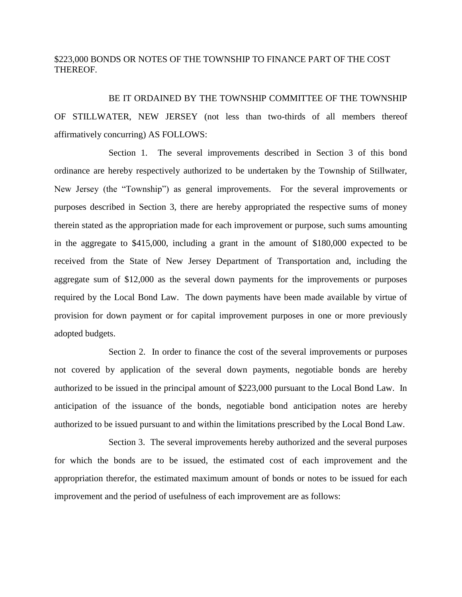# \$223,000 BONDS OR NOTES OF THE TOWNSHIP TO FINANCE PART OF THE COST THEREOF.

BE IT ORDAINED BY THE TOWNSHIP COMMITTEE OF THE TOWNSHIP OF STILLWATER, NEW JERSEY (not less than two-thirds of all members thereof affirmatively concurring) AS FOLLOWS:

Section 1. The several improvements described in Section 3 of this bond ordinance are hereby respectively authorized to be undertaken by the Township of Stillwater, New Jersey (the "Township") as general improvements. For the several improvements or purposes described in Section 3, there are hereby appropriated the respective sums of money therein stated as the appropriation made for each improvement or purpose, such sums amounting in the aggregate to \$415,000, including a grant in the amount of \$180,000 expected to be received from the State of New Jersey Department of Transportation and, including the aggregate sum of \$12,000 as the several down payments for the improvements or purposes required by the Local Bond Law. The down payments have been made available by virtue of provision for down payment or for capital improvement purposes in one or more previously adopted budgets.

Section 2. In order to finance the cost of the several improvements or purposes not covered by application of the several down payments, negotiable bonds are hereby authorized to be issued in the principal amount of \$223,000 pursuant to the Local Bond Law. In anticipation of the issuance of the bonds, negotiable bond anticipation notes are hereby authorized to be issued pursuant to and within the limitations prescribed by the Local Bond Law.

Section 3. The several improvements hereby authorized and the several purposes for which the bonds are to be issued, the estimated cost of each improvement and the appropriation therefor, the estimated maximum amount of bonds or notes to be issued for each improvement and the period of usefulness of each improvement are as follows: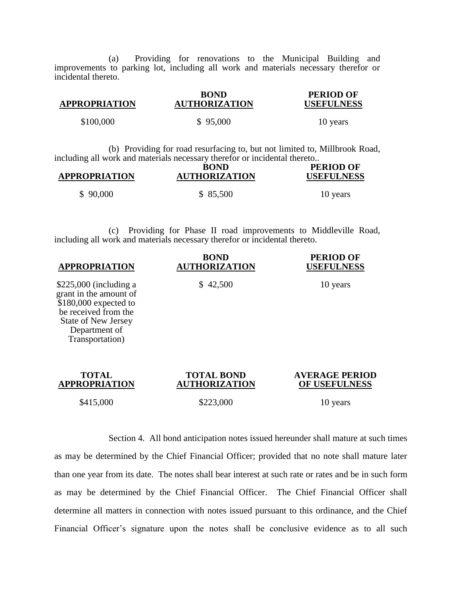(a) Providing for renovations to the Municipal Building and improvements to parking lot, including all work and materials necessary therefor or incidental thereto.

| <b>APPROPRIATION</b> | <b>BOND</b><br><b>AUTHORIZATION</b> | <b>PERIOD OF</b><br><b>USEFULNESS</b> |
|----------------------|-------------------------------------|---------------------------------------|
| \$100,000            | \$95,000                            | 10 years                              |

(b) Providing for road resurfacing to, but not limited to, Millbrook Road, including all work and materials necessary therefor or incidental thereto..

| <b>APPROPRIATION</b> | <b>BOND</b><br><b>AUTHORIZATION</b> | <b>PERIOD OF</b><br><b>USEFULNESS</b> |
|----------------------|-------------------------------------|---------------------------------------|
| \$90,000             | \$ 85,500                           | 10 years                              |

(c) Providing for Phase II road improvements to Middleville Road, including all work and materials necessary therefor or incidental thereto.

| <b>APPROPRIATION</b>                                                                                                                                                  | <b>BOND</b><br><b>AUTHORIZATION</b>       | <b>PERIOD OF</b><br><b>USEFULNESS</b><br>10 years |  |
|-----------------------------------------------------------------------------------------------------------------------------------------------------------------------|-------------------------------------------|---------------------------------------------------|--|
| $$225,000$ (including a<br>grant in the amount of<br>$$180,000$ expected to<br>be received from the<br><b>State of New Jersey</b><br>Department of<br>Transportation) | \$42,500                                  |                                                   |  |
| <b>TOTAL</b><br><b>APPROPRIATION</b>                                                                                                                                  | <b>TOTAL BOND</b><br><b>AUTHORIZATION</b> | <b>AVERAGE PERIOD</b><br>OF USEFULNESS            |  |
| \$415,000                                                                                                                                                             | \$223,000                                 | 10 years                                          |  |

Section 4. All bond anticipation notes issued hereunder shall mature at such times as may be determined by the Chief Financial Officer; provided that no note shall mature later than one year from its date. The notes shall bear interest at such rate or rates and be in such form as may be determined by the Chief Financial Officer. The Chief Financial Officer shall determine all matters in connection with notes issued pursuant to this ordinance, and the Chief Financial Officer's signature upon the notes shall be conclusive evidence as to all such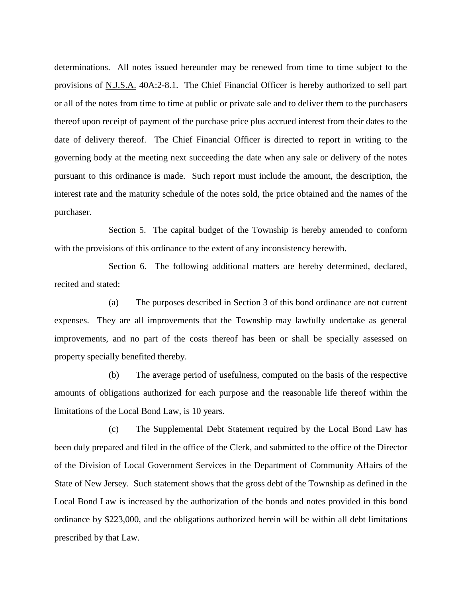determinations. All notes issued hereunder may be renewed from time to time subject to the provisions of N.J.S.A. 40A:2-8.1. The Chief Financial Officer is hereby authorized to sell part or all of the notes from time to time at public or private sale and to deliver them to the purchasers thereof upon receipt of payment of the purchase price plus accrued interest from their dates to the date of delivery thereof. The Chief Financial Officer is directed to report in writing to the governing body at the meeting next succeeding the date when any sale or delivery of the notes pursuant to this ordinance is made. Such report must include the amount, the description, the interest rate and the maturity schedule of the notes sold, the price obtained and the names of the purchaser.

Section 5. The capital budget of the Township is hereby amended to conform with the provisions of this ordinance to the extent of any inconsistency herewith.

Section 6. The following additional matters are hereby determined, declared, recited and stated:

(a) The purposes described in Section 3 of this bond ordinance are not current expenses. They are all improvements that the Township may lawfully undertake as general improvements, and no part of the costs thereof has been or shall be specially assessed on property specially benefited thereby.

(b) The average period of usefulness, computed on the basis of the respective amounts of obligations authorized for each purpose and the reasonable life thereof within the limitations of the Local Bond Law, is 10 years.

(c) The Supplemental Debt Statement required by the Local Bond Law has been duly prepared and filed in the office of the Clerk, and submitted to the office of the Director of the Division of Local Government Services in the Department of Community Affairs of the State of New Jersey. Such statement shows that the gross debt of the Township as defined in the Local Bond Law is increased by the authorization of the bonds and notes provided in this bond ordinance by \$223,000, and the obligations authorized herein will be within all debt limitations prescribed by that Law.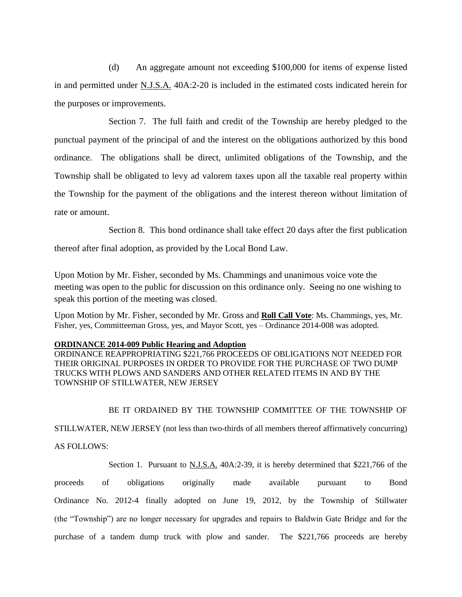(d) An aggregate amount not exceeding \$100,000 for items of expense listed in and permitted under N.J.S.A. 40A:2-20 is included in the estimated costs indicated herein for the purposes or improvements.

Section 7. The full faith and credit of the Township are hereby pledged to the punctual payment of the principal of and the interest on the obligations authorized by this bond ordinance. The obligations shall be direct, unlimited obligations of the Township, and the Township shall be obligated to levy ad valorem taxes upon all the taxable real property within the Township for the payment of the obligations and the interest thereon without limitation of rate or amount.

Section 8. This bond ordinance shall take effect 20 days after the first publication

thereof after final adoption, as provided by the Local Bond Law.

Upon Motion by Mr. Fisher, seconded by Ms. Chammings and unanimous voice vote the meeting was open to the public for discussion on this ordinance only. Seeing no one wishing to speak this portion of the meeting was closed.

Upon Motion by Mr. Fisher, seconded by Mr. Gross and **Roll Call Vote**: Ms. Chammings, yes, Mr. Fisher, yes, Committeeman Gross, yes, and Mayor Scott, yes – Ordinance 2014-008 was adopted.

#### **ORDINANCE 2014-009 Public Hearing and Adoption**

ORDINANCE REAPPROPRIATING \$221,766 PROCEEDS OF OBLIGATIONS NOT NEEDED FOR THEIR ORIGINAL PURPOSES IN ORDER TO PROVIDE FOR THE PURCHASE OF TWO DUMP TRUCKS WITH PLOWS AND SANDERS AND OTHER RELATED ITEMS IN AND BY THE TOWNSHIP OF STILLWATER, NEW JERSEY

## BE IT ORDAINED BY THE TOWNSHIP COMMITTEE OF THE TOWNSHIP OF

STILLWATER, NEW JERSEY (not less than two-thirds of all members thereof affirmatively concurring)

#### AS FOLLOWS:

Section 1. Pursuant to N.J.S.A. 40A:2-39, it is hereby determined that \$221,766 of the

proceeds of obligations originally made available pursuant to Bond Ordinance No. 2012-4 finally adopted on June 19, 2012, by the Township of Stillwater (the "Township") are no longer necessary for upgrades and repairs to Baldwin Gate Bridge and for the purchase of a tandem dump truck with plow and sander. The \$221,766 proceeds are hereby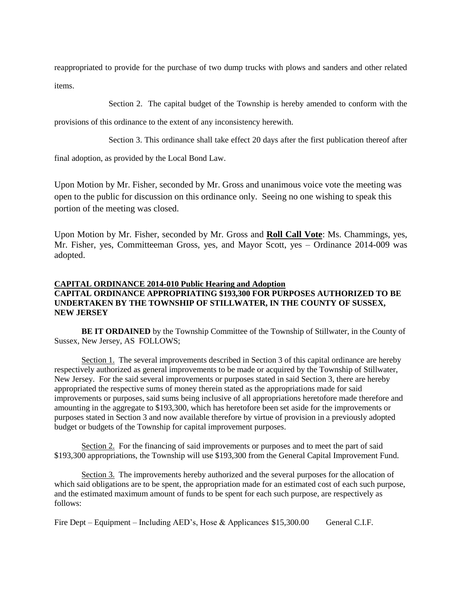reappropriated to provide for the purchase of two dump trucks with plows and sanders and other related items.

Section 2. The capital budget of the Township is hereby amended to conform with the

provisions of this ordinance to the extent of any inconsistency herewith.

Section 3. This ordinance shall take effect 20 days after the first publication thereof after

final adoption, as provided by the Local Bond Law.

Upon Motion by Mr. Fisher, seconded by Mr. Gross and unanimous voice vote the meeting was open to the public for discussion on this ordinance only. Seeing no one wishing to speak this portion of the meeting was closed.

Upon Motion by Mr. Fisher, seconded by Mr. Gross and **Roll Call Vote**: Ms. Chammings, yes, Mr. Fisher, yes, Committeeman Gross, yes, and Mayor Scott, yes – Ordinance 2014-009 was adopted.

# **CAPITAL ORDINANCE 2014-010 Public Hearing and Adoption CAPITAL ORDINANCE APPROPRIATING \$193,300 FOR PURPOSES AUTHORIZED TO BE UNDERTAKEN BY THE TOWNSHIP OF STILLWATER, IN THE COUNTY OF SUSSEX, NEW JERSEY**

**BE IT ORDAINED** by the Township Committee of the Township of Stillwater, in the County of Sussex, New Jersey, AS FOLLOWS;

Section 1. The several improvements described in Section 3 of this capital ordinance are hereby respectively authorized as general improvements to be made or acquired by the Township of Stillwater, New Jersey. For the said several improvements or purposes stated in said Section 3, there are hereby appropriated the respective sums of money therein stated as the appropriations made for said improvements or purposes, said sums being inclusive of all appropriations heretofore made therefore and amounting in the aggregate to \$193,300, which has heretofore been set aside for the improvements or purposes stated in Section 3 and now available therefore by virtue of provision in a previously adopted budget or budgets of the Township for capital improvement purposes.

Section 2. For the financing of said improvements or purposes and to meet the part of said \$193,300 appropriations, the Township will use \$193,300 from the General Capital Improvement Fund.

Section 3. The improvements hereby authorized and the several purposes for the allocation of which said obligations are to be spent, the appropriation made for an estimated cost of each such purpose, and the estimated maximum amount of funds to be spent for each such purpose, are respectively as follows:

Fire Dept – Equipment – Including AED's, Hose & Applicances \$15,300.00 General C.I.F.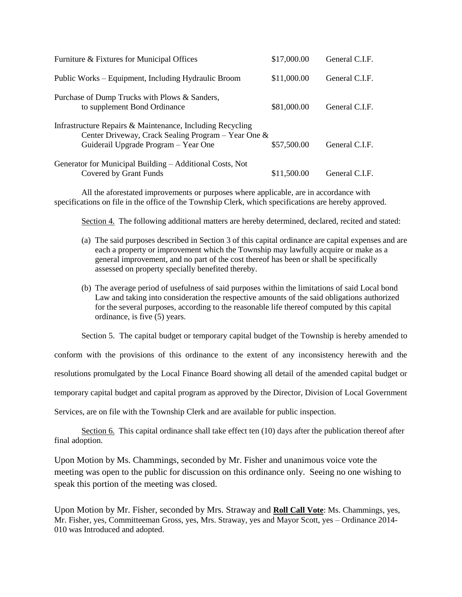| Furniture & Fixtures for Municipal Offices                                                                                                               | \$17,000.00 | General C.I.F. |
|----------------------------------------------------------------------------------------------------------------------------------------------------------|-------------|----------------|
| Public Works – Equipment, Including Hydraulic Broom                                                                                                      | \$11,000.00 | General C.I.F. |
| Purchase of Dump Trucks with Plows & Sanders,<br>to supplement Bond Ordinance                                                                            | \$81,000.00 | General C.I.F. |
| Infrastructure Repairs & Maintenance, Including Recycling<br>Center Driveway, Crack Sealing Program - Year One &<br>Guiderail Upgrade Program – Year One | \$57,500.00 | General C.I.F. |
| Generator for Municipal Building – Additional Costs, Not<br>Covered by Grant Funds                                                                       | \$11,500.00 | General C.I.F. |

All the aforestated improvements or purposes where applicable, are in accordance with specifications on file in the office of the Township Clerk, which specifications are hereby approved.

Section 4. The following additional matters are hereby determined, declared, recited and stated:

- (a) The said purposes described in Section 3 of this capital ordinance are capital expenses and are each a property or improvement which the Township may lawfully acquire or make as a general improvement, and no part of the cost thereof has been or shall be specifically assessed on property specially benefited thereby.
- (b) The average period of usefulness of said purposes within the limitations of said Local bond Law and taking into consideration the respective amounts of the said obligations authorized for the several purposes, according to the reasonable life thereof computed by this capital ordinance, is five (5) years.

Section 5. The capital budget or temporary capital budget of the Township is hereby amended to

conform with the provisions of this ordinance to the extent of any inconsistency herewith and the

resolutions promulgated by the Local Finance Board showing all detail of the amended capital budget or

temporary capital budget and capital program as approved by the Director, Division of Local Government

Services, are on file with the Township Clerk and are available for public inspection.

Section 6. This capital ordinance shall take effect ten (10) days after the publication thereof after final adoption.

Upon Motion by Ms. Chammings, seconded by Mr. Fisher and unanimous voice vote the meeting was open to the public for discussion on this ordinance only. Seeing no one wishing to speak this portion of the meeting was closed.

Upon Motion by Mr. Fisher, seconded by Mrs. Straway and **Roll Call Vote**: Ms. Chammings, yes, Mr. Fisher, yes, Committeeman Gross, yes, Mrs. Straway, yes and Mayor Scott, yes – Ordinance 2014- 010 was Introduced and adopted.